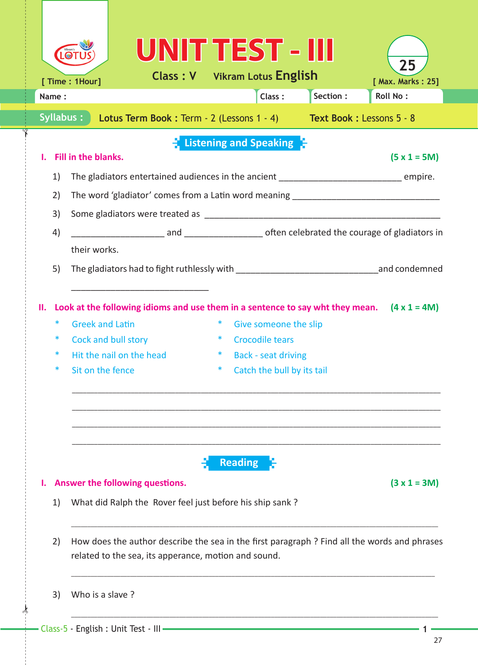|                        | Vikram'                                                                                  |                                                                                             | UNIT TEST - IIII                                                                                                                                                                                                                                 |          | 25                |  |  |  |  |  |
|------------------------|------------------------------------------------------------------------------------------|---------------------------------------------------------------------------------------------|--------------------------------------------------------------------------------------------------------------------------------------------------------------------------------------------------------------------------------------------------|----------|-------------------|--|--|--|--|--|
|                        | [ Time : 1Hour]                                                                          |                                                                                             | <b>Class: V</b> Vikram Lotus English                                                                                                                                                                                                             |          | [ Max. Marks: 25] |  |  |  |  |  |
| Name:                  |                                                                                          |                                                                                             | Class:                                                                                                                                                                                                                                           | Section: | <b>Roll No:</b>   |  |  |  |  |  |
| <b>Syllabus:</b>       |                                                                                          |                                                                                             | <b>Lotus Term Book: Term - 2 (Lessons 1 - 4) Text Book: Lessons 5 - 8</b>                                                                                                                                                                        |          |                   |  |  |  |  |  |
|                        |                                                                                          |                                                                                             | Listening and Speaking                                                                                                                                                                                                                           |          |                   |  |  |  |  |  |
|                        | Fill in the blanks.                                                                      |                                                                                             |                                                                                                                                                                                                                                                  |          | $(5 x 1 = 5M)$    |  |  |  |  |  |
| 1)                     | The gladiators entertained audiences in the ancient ____________________________ empire. |                                                                                             |                                                                                                                                                                                                                                                  |          |                   |  |  |  |  |  |
| 2)                     |                                                                                          |                                                                                             | The word 'gladiator' comes from a Latin word meaning ____________________________                                                                                                                                                                |          |                   |  |  |  |  |  |
| 3)                     |                                                                                          |                                                                                             |                                                                                                                                                                                                                                                  |          |                   |  |  |  |  |  |
| 4)                     |                                                                                          |                                                                                             |                                                                                                                                                                                                                                                  |          |                   |  |  |  |  |  |
|                        | their works.                                                                             |                                                                                             |                                                                                                                                                                                                                                                  |          |                   |  |  |  |  |  |
| 5)                     |                                                                                          |                                                                                             |                                                                                                                                                                                                                                                  |          |                   |  |  |  |  |  |
|                        |                                                                                          |                                                                                             |                                                                                                                                                                                                                                                  |          |                   |  |  |  |  |  |
| н.<br>∗<br>∗<br>∗<br>∗ | <b>Greek and Latin</b><br>Sit on the fence                                               | Cock and bull story<br>Hit the nail on the head                                             | Look at the following idioms and use them in a sentence to say wht they mean. $(4 \times 1 = 4M)$<br>$\ast$<br>Give someone the slip<br>∗<br><b>Crocodile tears</b><br>$*$<br><b>Back - seat driving</b><br>$\ast$<br>Catch the bull by its tail |          |                   |  |  |  |  |  |
| 1)                     |                                                                                          | Answer the following questions.<br>What did Ralph the Rover feel just before his ship sank? | <b>Reading</b>                                                                                                                                                                                                                                   |          | $(3 x 1 = 3M)$    |  |  |  |  |  |
| 2)                     |                                                                                          | related to the sea, its apperance, motion and sound.                                        | How does the author describe the sea in the first paragraph ? Find all the words and phrases                                                                                                                                                     |          |                   |  |  |  |  |  |
| 3)                     | Who is a slave?                                                                          |                                                                                             |                                                                                                                                                                                                                                                  |          |                   |  |  |  |  |  |

 $\frac{1}{2}$ 

✁